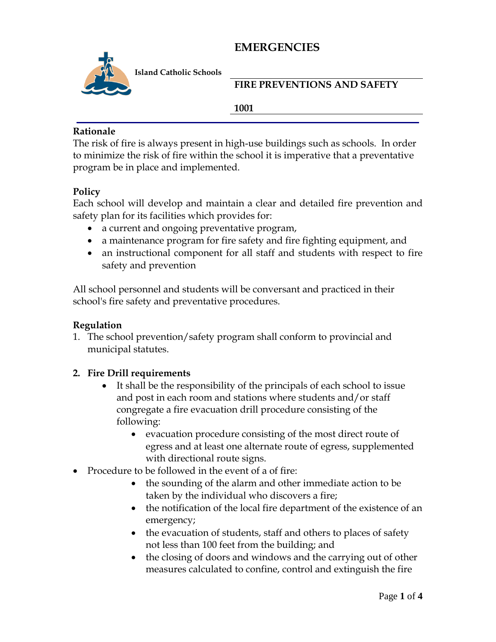

**Island Catholic Schools** 

**FIRE PREVENTIONS AND SAFETY** 

#### **1001**

### **Rationale**

The risk of fire is always present in high-use buildings such as schools. In order to minimize the risk of fire within the school it is imperative that a preventative program be in place and implemented.

### **Policy**

Each school will develop and maintain a clear and detailed fire prevention and safety plan for its facilities which provides for:

- a current and ongoing preventative program,
- a maintenance program for fire safety and fire fighting equipment, and
- an instructional component for all staff and students with respect to fire safety and prevention

All school personnel and students will be conversant and practiced in their school's fire safety and preventative procedures.

## **Regulation**

1. The school prevention/safety program shall conform to provincial and municipal statutes.

## **2. Fire Drill requirements**

- It shall be the responsibility of the principals of each school to issue and post in each room and stations where students and/or staff congregate a fire evacuation drill procedure consisting of the following:
	- evacuation procedure consisting of the most direct route of egress and at least one alternate route of egress, supplemented with directional route signs.
- Procedure to be followed in the event of a of fire:
	- the sounding of the alarm and other immediate action to be taken by the individual who discovers a fire;
	- the notification of the local fire department of the existence of an emergency;
	- the evacuation of students, staff and others to places of safety not less than 100 feet from the building; and
	- the closing of doors and windows and the carrying out of other measures calculated to confine, control and extinguish the fire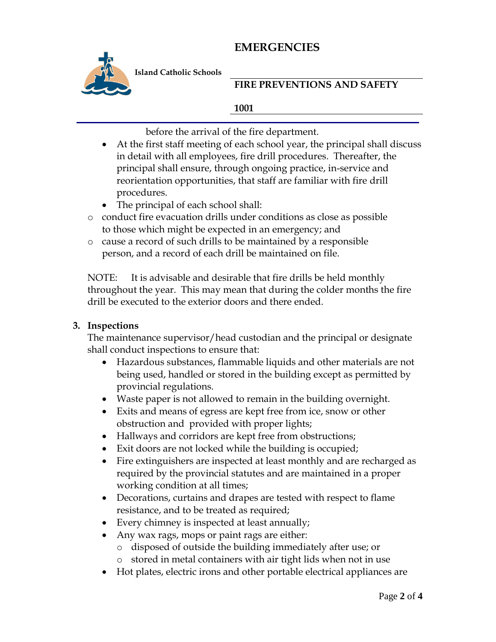

**Island Catholic Schools** 

## **FIRE PREVENTIONS AND SAFETY**

### **1001**

before the arrival of the fire department.

- At the first staff meeting of each school year, the principal shall discuss in detail with all employees, fire drill procedures. Thereafter, the principal shall ensure, through ongoing practice, in-service and reorientation opportunities, that staff are familiar with fire drill procedures.
- The principal of each school shall:
- o conduct fire evacuation drills under conditions as close as possible to those which might be expected in an emergency; and
- o cause a record of such drills to be maintained by a responsible person, and a record of each drill be maintained on file.

NOTE: It is advisable and desirable that fire drills be held monthly throughout the year. This may mean that during the colder months the fire drill be executed to the exterior doors and there ended.

### **3. Inspections**

The maintenance supervisor/head custodian and the principal or designate shall conduct inspections to ensure that:

- Hazardous substances, flammable liquids and other materials are not being used, handled or stored in the building except as permitted by provincial regulations.
- Waste paper is not allowed to remain in the building overnight.
- Exits and means of egress are kept free from ice, snow or other obstruction and provided with proper lights;
- Hallways and corridors are kept free from obstructions;
- Exit doors are not locked while the building is occupied;
- Fire extinguishers are inspected at least monthly and are recharged as required by the provincial statutes and are maintained in a proper working condition at all times;
- Decorations, curtains and drapes are tested with respect to flame resistance, and to be treated as required;
- Every chimney is inspected at least annually;
- Any wax rags, mops or paint rags are either:
	- o disposed of outside the building immediately after use; or
	- o stored in metal containers with air tight lids when not in use
- Hot plates, electric irons and other portable electrical appliances are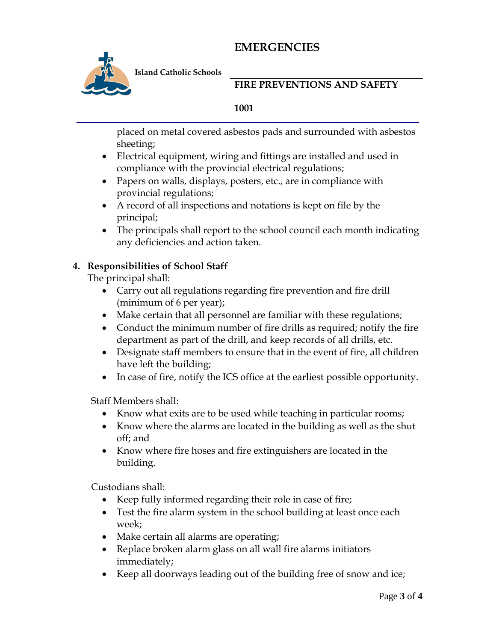

**Island Catholic Schools** 

## **FIRE PREVENTIONS AND SAFETY**

#### **1001**

placed on metal covered asbestos pads and surrounded with asbestos sheeting;

- Electrical equipment, wiring and fittings are installed and used in compliance with the provincial electrical regulations;
- Papers on walls, displays, posters, etc., are in compliance with provincial regulations;
- A record of all inspections and notations is kept on file by the principal;
- The principals shall report to the school council each month indicating any deficiencies and action taken.

## **4. Responsibilities of School Staff**

The principal shall:

- Carry out all regulations regarding fire prevention and fire drill (minimum of 6 per year);
- Make certain that all personnel are familiar with these regulations;
- Conduct the minimum number of fire drills as required; notify the fire department as part of the drill, and keep records of all drills, etc.
- Designate staff members to ensure that in the event of fire, all children have left the building;
- In case of fire, notify the ICS office at the earliest possible opportunity.

Staff Members shall:

- Know what exits are to be used while teaching in particular rooms;
- Know where the alarms are located in the building as well as the shut off; and
- Know where fire hoses and fire extinguishers are located in the building.

Custodians shall:

- Keep fully informed regarding their role in case of fire;
- Test the fire alarm system in the school building at least once each week;
- Make certain all alarms are operating;
- Replace broken alarm glass on all wall fire alarms initiators immediately;
- Keep all doorways leading out of the building free of snow and ice;